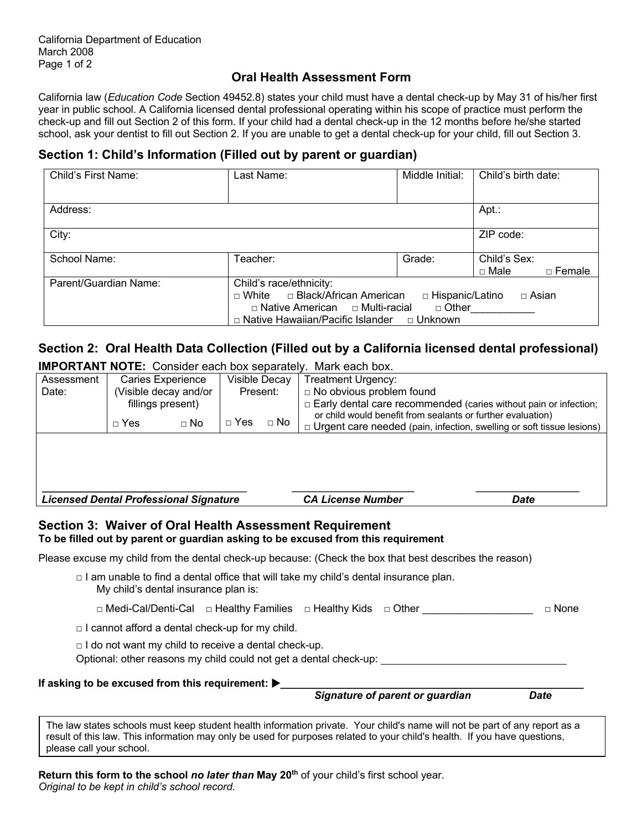### **Oral Health Assessment Form**

California law (*Education Code* Section 49452.8) states your child must have a dental check-up by May 31 of his/her first year in public school. A California licensed dental professional operating within his scope of practice must perform the check-up and fill out Section 2 of this form. If your child had a dental check-up in the 12 months before he/she started school, ask your dentist to fill out Section 2. If you are unable to get a dental check-up for your child, fill out Section 3.

### **Section 1: Child's Information (Filled out by parent or guardian)**

| Child's First Name:   | Last Name:                                 | Middle Initial:   | Child's birth date:          |
|-----------------------|--------------------------------------------|-------------------|------------------------------|
|                       |                                            |                   |                              |
| Address:              |                                            |                   | Apt.:                        |
| City:                 |                                            |                   | ZIP code:                    |
| School Name:          | Teacher:                                   | Grade:            | Child's Sex:                 |
|                       |                                            |                   | $\Box$ Male<br>$\Box$ Female |
| Parent/Guardian Name: | Child's race/ethnicity:                    |                   |                              |
|                       | $\Box$ White $\Box$ Black/African American | □ Hispanic/Latino | □ Asian                      |
|                       | □ Native American □ Multi-racial           | □ Other           |                              |
|                       | □ Native Hawaiian/Pacific Islander         | □ Unknown         |                              |

## **Section 2: Oral Health Data Collection (Filled out by a California licensed dental professional)**

**IMPORTANT NOTE:** Consider each box separately. Mark each box.

| Assessment                                                           |           | <b>Caries Experience</b>                                    | Visible Decay                                               |                                 | <b>Treatment Urgency:</b>                                                                               |             |
|----------------------------------------------------------------------|-----------|-------------------------------------------------------------|-------------------------------------------------------------|---------------------------------|---------------------------------------------------------------------------------------------------------|-------------|
| (Visible decay and/or<br>Date:                                       |           | Present:                                                    |                                                             | $\Box$ No obvious problem found |                                                                                                         |             |
| $\Box$ Yes                                                           |           | fillings present)                                           |                                                             |                                 | □ Early dental care recommended (caries without pain or infection;                                      |             |
|                                                                      | $\Box$ No | $\Box$ Yes<br>$\Box$ No                                     | or child would benefit from sealants or further evaluation) |                                 |                                                                                                         |             |
|                                                                      |           |                                                             |                                                             |                                 | $\Box$ Urgent care needed (pain, infection, swelling or soft tissue lesions)                            |             |
|                                                                      |           |                                                             |                                                             |                                 |                                                                                                         |             |
|                                                                      |           |                                                             |                                                             |                                 |                                                                                                         |             |
|                                                                      |           |                                                             |                                                             |                                 |                                                                                                         |             |
| <b>Licensed Dental Professional Signature</b>                        |           |                                                             |                                                             | <b>CA License Number</b>        | <b>Date</b>                                                                                             |             |
|                                                                      |           |                                                             |                                                             |                                 |                                                                                                         |             |
|                                                                      |           |                                                             |                                                             |                                 |                                                                                                         |             |
| Section 3: Waiver of Oral Health Assessment Requirement              |           |                                                             |                                                             |                                 |                                                                                                         |             |
|                                                                      |           |                                                             |                                                             |                                 | To be filled out by parent or guardian asking to be excused from this requirement                       |             |
|                                                                      |           |                                                             |                                                             |                                 | Please excuse my child from the dental check-up because: (Check the box that best describes the reason) |             |
|                                                                      |           |                                                             |                                                             |                                 | □ I am unable to find a dental office that will take my child's dental insurance plan.                  |             |
|                                                                      |           | My child's dental insurance plan is:                        |                                                             |                                 |                                                                                                         |             |
|                                                                      |           |                                                             |                                                             |                                 | □ Medi-Cal/Denti-Cal  □ Healthy Families  □ Healthy Kids  □ Other                                       | $\Box$ None |
|                                                                      |           | $\Box$ I cannot afford a dental check-up for my child.      |                                                             |                                 |                                                                                                         |             |
|                                                                      |           | $\Box$ I do not want my child to receive a dental check-up. |                                                             |                                 |                                                                                                         |             |
|                                                                      |           |                                                             |                                                             |                                 |                                                                                                         |             |
|                                                                      |           |                                                             |                                                             |                                 | Optional: other reasons my child could not get a dental check-up: __________________________________    |             |
| If asking to be excused from this requirement: $\blacktriangleright$ |           |                                                             |                                                             |                                 | Signature of parent or guardian                                                                         |             |

please call your school.

**Return this form to the school** *no later than* **May 20th** of your child's first school year. *Original to be kept in child's school record.*